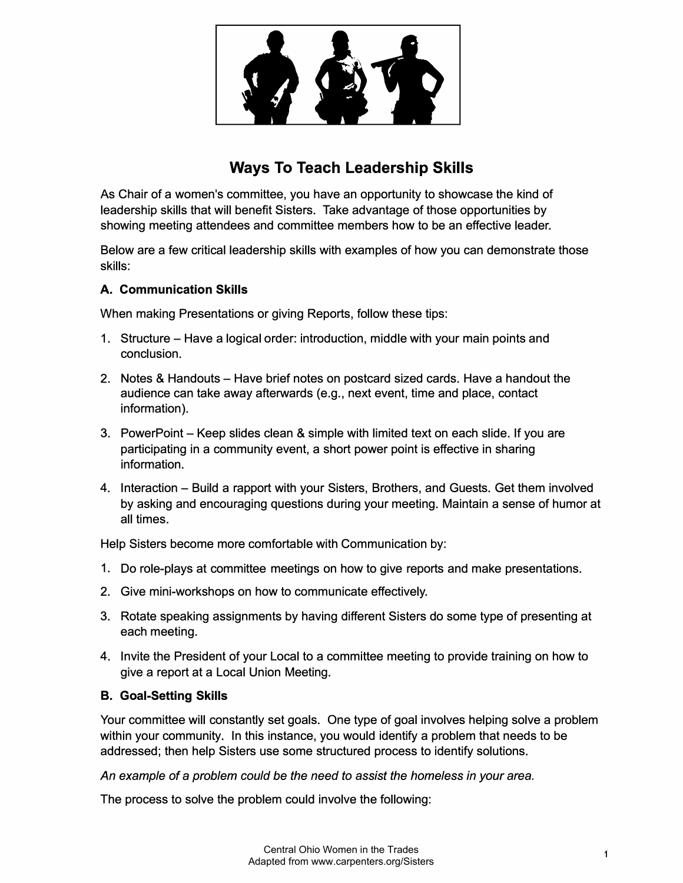

# **Ways To Teach Leadership Skills**

As Chair of a women's committee, you have an opportunity to showcase the kind of leadership skills that will benefit Sisters. Take advantage of those opportunities by showing meeting attendees and committee members how to be an effective leader.

Below are a few critical leadership skills with examples of how you can demonstrate those skills:

### **A. Communication Skills**

When making Presentations or giving Reports, follow these tips:

- 1. Structure Have a logical order: introduction, middle with your main points and conclusion.
- 2. Notes & Handouts Have brief notes on postcard sized cards. Have a handout the audience can take away afterwards (e.g., next event, time and place, contact information).
- 3. PowerPoint Keep slides clean & simple with limited text on each slide. If you are participating in a community event, a short power point is effective in sharing information.
- 4. Interaction Build a rapport with your Sisters, Brothers, and Guests. Get them involved by asking and encouraging questions during your meeting. Maintain a sense of humor at all times.

Help Sisters become more comfortable with Communication by:

- 1. Do role-plays at committee meetings on how to give reports and make presentations.
- 2. Give mini-workshops on how to communicate effectively.
- 3. Rotate speaking assignments by having different Sisters do some type of presenting at each meeting.
- 4. Invite the President of your Local to a committee meeting to provide training on how to give a report at a Local Union Meeting.

## **B. Goal-Setting Skills**

Your committee will constantly set goals. One type of goal involves helping solve a problem within your community. In this instance, you would identify a problem that needs to be addressed; then help Sisters use some structured process to identify solutions.

*An example of* a *problem could be the need to assist the homeless in your area.* 

The process to solve the problem could involve the following: